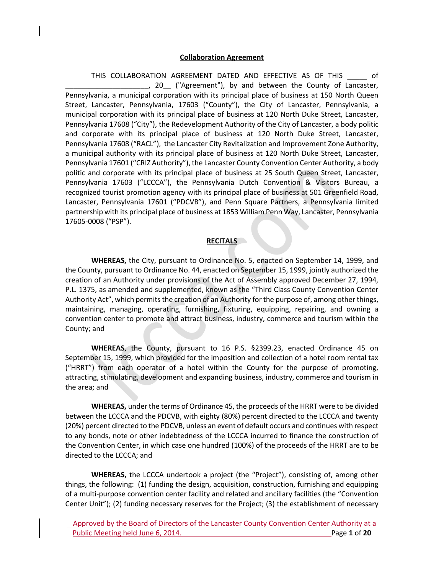#### **Collaboration Agreement**

THIS COLLABORATION AGREEMENT DATED AND EFFECTIVE AS OF THIS \_\_\_\_\_ of \_\_\_\_\_\_\_\_\_\_\_\_\_\_\_\_\_\_\_\_\_, 20\_\_ ("Agreement"), by and between the County of Lancaster, Pennsylvania, a municipal corporation with its principal place of business at 150 North Queen Street, Lancaster, Pennsylvania, 17603 ("County"), the City of Lancaster, Pennsylvania, a municipal corporation with its principal place of business at 120 North Duke Street, Lancaster, Pennsylvania 17608 ("City"), the Redevelopment Authority of the City of Lancaster, a body politic and corporate with its principal place of business at 120 North Duke Street, Lancaster, Pennsylvania 17608 ("RACL"), the Lancaster City Revitalization and Improvement Zone Authority, a municipal authority with its principal place of business at 120 North Duke Street, Lancaster, Pennsylvania 17601 ("CRIZ Authority"), the Lancaster County Convention Center Authority, a body politic and corporate with its principal place of business at 25 South Queen Street, Lancaster, Pennsylvania 17603 ("LCCCA"), the Pennsylvania Dutch Convention & Visitors Bureau, a recognized tourist promotion agency with its principal place of business at 501 Greenfield Road, Lancaster, Pennsylvania 17601 ("PDCVB"), and Penn Square Partners, a Pennsylvania limited partnership with its principal place of business at 1853 William Penn Way, Lancaster, Pennsylvania 17605-0008 ("PSP").

#### **RECITALS**

**WHEREAS,** the City, pursuant to Ordinance No. 5, enacted on September 14, 1999, and the County, pursuant to Ordinance No. 44, enacted on September 15, 1999, jointly authorized the creation of an Authority under provisions of the Act of Assembly approved December 27, 1994, P.L. 1375, as amended and supplemented, known as the "Third Class County Convention Center Authority Act", which permits the creation of an Authority for the purpose of, among other things, maintaining, managing, operating, furnishing, fixturing, equipping, repairing, and owning a convention center to promote and attract business, industry, commerce and tourism within the County; and

**WHEREAS**, the County, pursuant to 16 P.S. §2399.23, enacted Ordinance 45 on September 15, 1999, which provided for the imposition and collection of a hotel room rental tax ("HRRT") from each operator of a hotel within the County for the purpose of promoting, attracting, stimulating, development and expanding business, industry, commerce and tourism in the area; and

**WHEREAS,** under the terms of Ordinance 45, the proceeds of the HRRT were to be divided between the LCCCA and the PDCVB, with eighty (80%) percent directed to the LCCCA and twenty (20%) percent directed to the PDCVB, unless an event of default occurs and continues with respect to any bonds, note or other indebtedness of the LCCCA incurred to finance the construction of the Convention Center, in which case one hundred (100%) of the proceeds of the HRRT are to be directed to the LCCCA; and

**WHEREAS,** the LCCCA undertook a project (the "Project"), consisting of, among other things, the following: (1) funding the design, acquisition, construction, furnishing and equipping of a multi-purpose convention center facility and related and ancillary facilities (the "Convention Center Unit"); (2) funding necessary reserves for the Project; (3) the establishment of necessary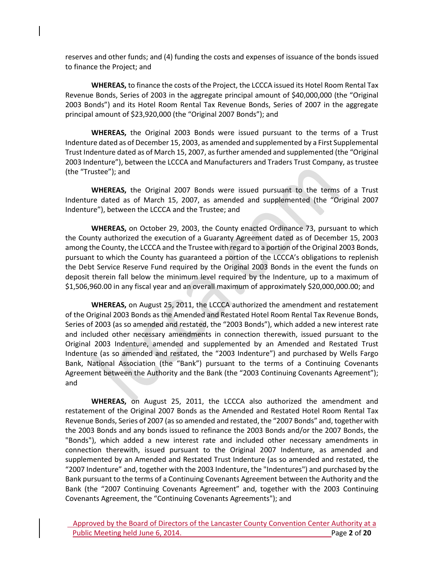reserves and other funds; and (4) funding the costs and expenses of issuance of the bonds issued to finance the Project; and

**WHEREAS,** to finance the costs of the Project, the LCCCA issued its Hotel Room Rental Tax Revenue Bonds, Series of 2003 in the aggregate principal amount of \$40,000,000 (the "Original 2003 Bonds") and its Hotel Room Rental Tax Revenue Bonds, Series of 2007 in the aggregate principal amount of \$23,920,000 (the "Original 2007 Bonds"); and

**WHEREAS,** the Original 2003 Bonds were issued pursuant to the terms of a Trust Indenture dated as of December 15, 2003, as amended and supplemented by a First Supplemental Trust Indenture dated as of March 15, 2007, as further amended and supplemented (the "Original 2003 Indenture"), between the LCCCA and Manufacturers and Traders Trust Company, as trustee (the "Trustee"); and

**WHEREAS,** the Original 2007 Bonds were issued pursuant to the terms of a Trust Indenture dated as of March 15, 2007, as amended and supplemented (the "Original 2007 Indenture"), between the LCCCA and the Trustee; and

**WHEREAS,** on October 29, 2003, the County enacted Ordinance 73, pursuant to which the County authorized the execution of a Guaranty Agreement dated as of December 15, 2003 among the County, the LCCCA and the Trustee with regard to a portion of the Original 2003 Bonds, pursuant to which the County has guaranteed a portion of the LCCCA's obligations to replenish the Debt Service Reserve Fund required by the Original 2003 Bonds in the event the funds on deposit therein fall below the minimum level required by the Indenture, up to a maximum of \$1,506,960.00 in any fiscal year and an overall maximum of approximately \$20,000,000.00; and

**WHEREAS,** on August 25, 2011, the LCCCA authorized the amendment and restatement of the Original 2003 Bonds as the Amended and Restated Hotel Room Rental Tax Revenue Bonds, Series of 2003 (as so amended and restated, the "2003 Bonds"), which added a new interest rate and included other necessary amendments in connection therewith, issued pursuant to the Original 2003 Indenture, amended and supplemented by an Amended and Restated Trust Indenture (as so amended and restated, the "2003 Indenture") and purchased by Wells Fargo Bank, National Association (the "Bank") pursuant to the terms of a Continuing Covenants Agreement between the Authority and the Bank (the "2003 Continuing Covenants Agreement"); and

**WHEREAS,** on August 25, 2011, the LCCCA also authorized the amendment and restatement of the Original 2007 Bonds as the Amended and Restated Hotel Room Rental Tax Revenue Bonds, Series of 2007 (as so amended and restated, the "2007 Bonds" and, together with the 2003 Bonds and any bonds issued to refinance the 2003 Bonds and/or the 2007 Bonds, the "Bonds"), which added a new interest rate and included other necessary amendments in connection therewith, issued pursuant to the Original 2007 Indenture, as amended and supplemented by an Amended and Restated Trust Indenture (as so amended and restated, the "2007 Indenture" and, together with the 2003 Indenture, the "Indentures") and purchased by the Bank pursuant to the terms of a Continuing Covenants Agreement between the Authority and the Bank (the "2007 Continuing Covenants Agreement" and, together with the 2003 Continuing Covenants Agreement, the "Continuing Covenants Agreements"); and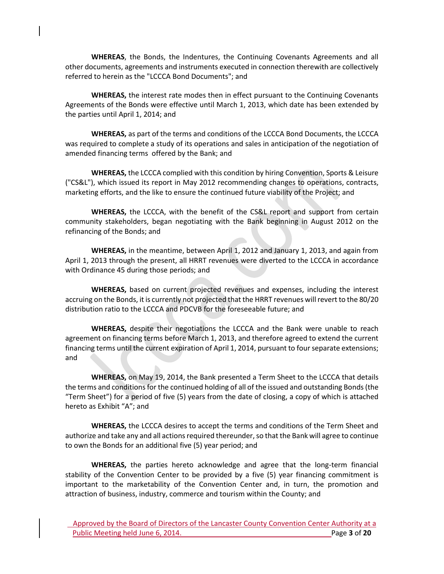**WHEREAS**, the Bonds, the Indentures, the Continuing Covenants Agreements and all other documents, agreements and instruments executed in connection therewith are collectively referred to herein as the "LCCCA Bond Documents"; and

**WHEREAS,** the interest rate modes then in effect pursuant to the Continuing Covenants Agreements of the Bonds were effective until March 1, 2013, which date has been extended by the parties until April 1, 2014; and

**WHEREAS,** as part of the terms and conditions of the LCCCA Bond Documents, the LCCCA was required to complete a study of its operations and sales in anticipation of the negotiation of amended financing terms offered by the Bank; and

**WHEREAS,** the LCCCA complied with this condition by hiring Convention, Sports & Leisure ("CS&L"), which issued its report in May 2012 recommending changes to operations, contracts, marketing efforts, and the like to ensure the continued future viability of the Project; and

**WHEREAS,** the LCCCA, with the benefit of the CS&L report and support from certain community stakeholders, began negotiating with the Bank beginning in August 2012 on the refinancing of the Bonds; and

**WHEREAS,** in the meantime, between April 1, 2012 and January 1, 2013, and again from April 1, 2013 through the present, all HRRT revenues were diverted to the LCCCA in accordance with Ordinance 45 during those periods; and

**WHEREAS,** based on current projected revenues and expenses, including the interest accruing on the Bonds, it is currently not projected that the HRRT revenues will revert to the 80/20 distribution ratio to the LCCCA and PDCVB for the foreseeable future; and

**WHEREAS,** despite their negotiations the LCCCA and the Bank were unable to reach agreement on financing terms before March 1, 2013, and therefore agreed to extend the current financing terms until the current expiration of April 1, 2014, pursuant to fourseparate extensions; and

**WHEREAS,** on May 19, 2014, the Bank presented a Term Sheet to the LCCCA that details the terms and conditions for the continued holding of all of the issued and outstanding Bonds (the "Term Sheet") for a period of five (5) years from the date of closing, a copy of which is attached hereto as Exhibit "A"; and

**WHEREAS,** the LCCCA desires to accept the terms and conditions of the Term Sheet and authorize and take any and all actions required thereunder, so that the Bank will agree to continue to own the Bonds for an additional five (5) year period; and

**WHEREAS,** the parties hereto acknowledge and agree that the long-term financial stability of the Convention Center to be provided by a five (5) year financing commitment is important to the marketability of the Convention Center and, in turn, the promotion and attraction of business, industry, commerce and tourism within the County; and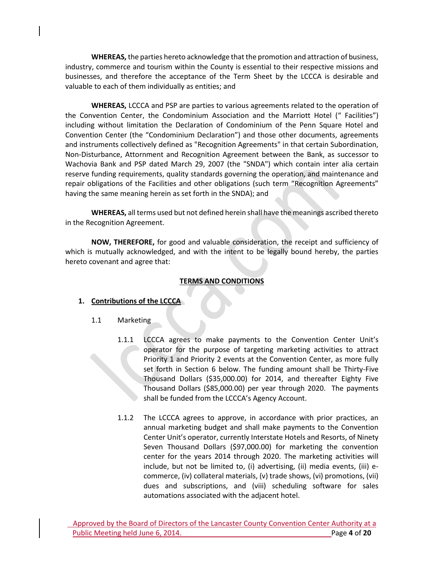**WHEREAS,** the parties hereto acknowledge that the promotion and attraction of business, industry, commerce and tourism within the County is essential to their respective missions and businesses, and therefore the acceptance of the Term Sheet by the LCCCA is desirable and valuable to each of them individually as entities; and

**WHEREAS,** LCCCA and PSP are parties to various agreements related to the operation of the Convention Center, the Condominium Association and the Marriott Hotel (" Facilities") including without limitation the Declaration of Condominium of the Penn Square Hotel and Convention Center (the "Condominium Declaration") and those other documents, agreements and instruments collectively defined as "Recognition Agreements" in that certain Subordination, Non-Disturbance, Attornment and Recognition Agreement between the Bank, as successor to Wachovia Bank and PSP dated March 29, 2007 (the "SNDA") which contain inter alia certain reserve funding requirements, quality standards governing the operation, and maintenance and repair obligations of the Facilities and other obligations (such term "Recognition Agreements" having the same meaning herein as set forth in the SNDA); and

**WHEREAS,** all terms used but not defined herein shall have the meanings ascribed thereto in the Recognition Agreement.

**NOW, THEREFORE,** for good and valuable consideration, the receipt and sufficiency of which is mutually acknowledged, and with the intent to be legally bound hereby, the parties hereto covenant and agree that:

## **TERMS AND CONDITIONS**

# **1. Contributions of the LCCCA**

- 1.1 Marketing
	- 1.1.1 LCCCA agrees to make payments to the Convention Center Unit's operator for the purpose of targeting marketing activities to attract Priority 1 and Priority 2 events at the Convention Center, as more fully set forth in Section 6 below. The funding amount shall be Thirty-Five Thousand Dollars (\$35,000.00) for 2014, and thereafter Eighty Five Thousand Dollars (\$85,000.00) per year through 2020. The payments shall be funded from the LCCCA's Agency Account.
	- 1.1.2 The LCCCA agrees to approve, in accordance with prior practices, an annual marketing budget and shall make payments to the Convention Center Unit's operator, currently Interstate Hotels and Resorts, of Ninety Seven Thousand Dollars (\$97,000.00) for marketing the convention center for the years 2014 through 2020. The marketing activities will include, but not be limited to, (i) advertising, (ii) media events, (iii) ecommerce, (iv) collateral materials, (v) trade shows, (vi) promotions, (vii) dues and subscriptions, and (viii) scheduling software for sales automations associated with the adjacent hotel.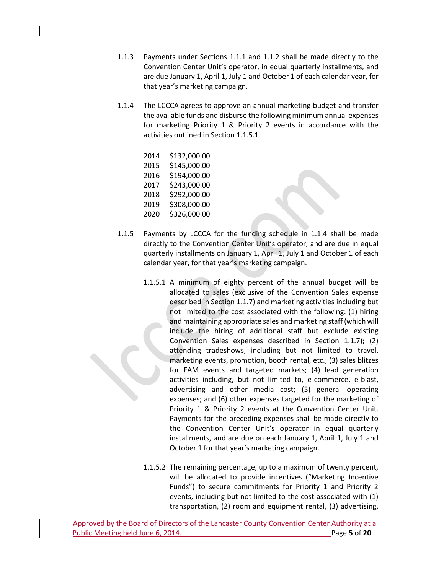- 1.1.3 Payments under Sections 1.1.1 and 1.1.2 shall be made directly to the Convention Center Unit's operator, in equal quarterly installments, and are due January 1, April 1, July 1 and October 1 of each calendar year, for that year's marketing campaign.
- 1.1.4 The LCCCA agrees to approve an annual marketing budget and transfer the available funds and disburse the following minimum annual expenses for marketing Priority 1 & Priority 2 events in accordance with the activities outlined in Section 1.1.5.1.
	- 2014 \$132,000.00 2015 \$145,000.00 2016 \$194,000.00 2017 \$243,000.00 2018 \$292,000.00 2019 \$308,000.00
	- 2020 \$326,000.00
- 1.1.5 Payments by LCCCA for the funding schedule in 1.1.4 shall be made directly to the Convention Center Unit's operator, and are due in equal quarterly installments on January 1, April 1, July 1 and October 1 of each calendar year, for that year's marketing campaign.
	- 1.1.5.1 A minimum of eighty percent of the annual budget will be allocated to sales (exclusive of the Convention Sales expense described in Section 1.1.7) and marketing activities including but not limited to the cost associated with the following: (1) hiring and maintaining appropriate sales and marketing staff (which will include the hiring of additional staff but exclude existing Convention Sales expenses described in Section 1.1.7); (2) attending tradeshows, including but not limited to travel, marketing events, promotion, booth rental, etc.; (3) sales blitzes for FAM events and targeted markets; (4) lead generation activities including, but not limited to, e-commerce, e-blast, advertising and other media cost; (5) general operating expenses; and (6) other expenses targeted for the marketing of Priority 1 & Priority 2 events at the Convention Center Unit. Payments for the preceding expenses shall be made directly to the Convention Center Unit's operator in equal quarterly installments, and are due on each January 1, April 1, July 1 and October 1 for that year's marketing campaign.
	- 1.1.5.2 The remaining percentage, up to a maximum of twenty percent, will be allocated to provide incentives ("Marketing Incentive Funds") to secure commitments for Priority 1 and Priority 2 events, including but not limited to the cost associated with (1) transportation, (2) room and equipment rental, (3) advertising,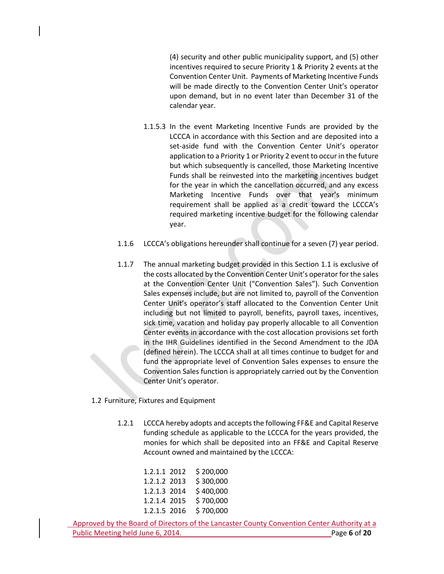(4) security and other public municipality support, and (5) other incentives required to secure Priority 1 & Priority 2 events at the Convention Center Unit. Payments of Marketing Incentive Funds will be made directly to the Convention Center Unit's operator upon demand, but in no event later than December 31 of the calendar year.

- 1.1.5.3 In the event Marketing Incentive Funds are provided by the LCCCA in accordance with this Section and are deposited into a set-aside fund with the Convention Center Unit's operator application to a Priority 1 or Priority 2 event to occur in the future but which subsequently is cancelled, those Marketing Incentive Funds shall be reinvested into the marketing incentives budget for the year in which the cancellation occurred, and any excess Marketing Incentive Funds over that year's minimum requirement shall be applied as a credit toward the LCCCA's required marketing incentive budget for the following calendar year.
- 1.1.6 LCCCA's obligations hereunder shall continue for a seven (7) year period.
- 1.1.7 The annual marketing budget provided in this Section 1.1 is exclusive of the costs allocated by the Convention Center Unit's operator for the sales at the Convention Center Unit ("Convention Sales"). Such Convention Sales expenses include, but are not limited to, payroll of the Convention Center Unit's operator's staff allocated to the Convention Center Unit including but not limited to payroll, benefits, payroll taxes, incentives, sick time, vacation and holiday pay properly allocable to all Convention Center events in accordance with the cost allocation provisions set forth in the IHR Guidelines identified in the Second Amendment to the JDA (defined herein). The LCCCA shall at all times continue to budget for and fund the appropriate level of Convention Sales expenses to ensure the Convention Sales function is appropriately carried out by the Convention Center Unit's operator.

1.2 Furniture, Fixtures and Equipment

1.2.1 LCCCA hereby adopts and accepts the following FF&E and Capital Reserve funding schedule as applicable to the LCCCA for the years provided, the monies for which shall be deposited into an FF&E and Capital Reserve Account owned and maintained by the LCCCA:

| 1.2.1.1 2012 | \$200,000 |
|--------------|-----------|
| 1.2.1.2 2013 | \$300,000 |
| 1.2.1.3 2014 | \$400,000 |
| 1.2.1.4 2015 | \$700,000 |
| 1.2.1.5 2016 | \$700,000 |
|              |           |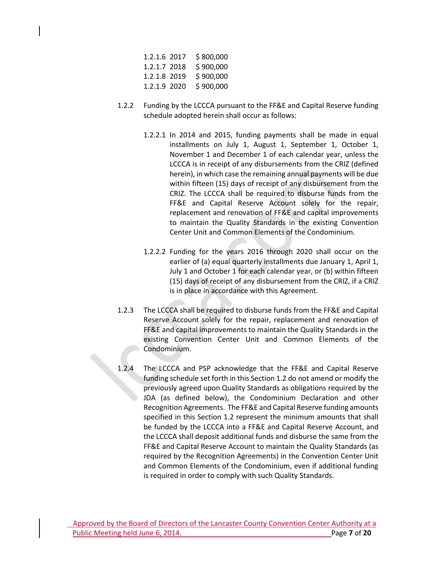| 1.2.1.6 2017 | \$800,000 |
|--------------|-----------|
| 1.2.1.7 2018 | \$900,000 |
| 1.2.1.8 2019 | \$900,000 |
| 1.2.1.9 2020 | \$900,000 |

- 1.2.2 Funding by the LCCCA pursuant to the FF&E and Capital Reserve funding schedule adopted herein shall occur as follows:
	- 1.2.2.1 In 2014 and 2015, funding payments shall be made in equal installments on July 1, August 1, September 1, October 1, November 1 and December 1 of each calendar year, unless the LCCCA is in receipt of any disbursements from the CRIZ (defined herein), in which case the remaining annual payments will be due within fifteen (15) days of receipt of any disbursement from the CRIZ. The LCCCA shall be required to disburse funds from the FF&E and Capital Reserve Account solely for the repair, replacement and renovation of FF&E and capital improvements to maintain the Quality Standards in the existing Convention Center Unit and Common Elements of the Condominium.
	- 1.2.2.2 Funding for the years 2016 through 2020 shall occur on the earlier of (a) equal quarterly installments due January 1, April 1, July 1 and October 1 for each calendar year, or (b) within fifteen (15) days of receipt of any disbursement from the CRIZ, if a CRIZ is in place in accordance with this Agreement.
- 1.2.3 The LCCCA shall be required to disburse funds from the FF&E and Capital Reserve Account solely for the repair, replacement and renovation of FF&E and capital improvements to maintain the Quality Standards in the existing Convention Center Unit and Common Elements of the Condominium.
- 1.2.4 The LCCCA and PSP acknowledge that the FF&E and Capital Reserve funding schedule set forth in this Section 1.2 do not amend or modify the previously agreed upon Quality Standards as obligations required by the JDA (as defined below), the Condominium Declaration and other Recognition Agreements. The FF&E and Capital Reserve funding amounts specified in this Section 1.2 represent the minimum amounts that shall be funded by the LCCCA into a FF&E and Capital Reserve Account, and the LCCCA shall deposit additional funds and disburse the same from the FF&E and Capital Reserve Account to maintain the Quality Standards (as required by the Recognition Agreements) in the Convention Center Unit and Common Elements of the Condominium, even if additional funding is required in order to comply with such Quality Standards.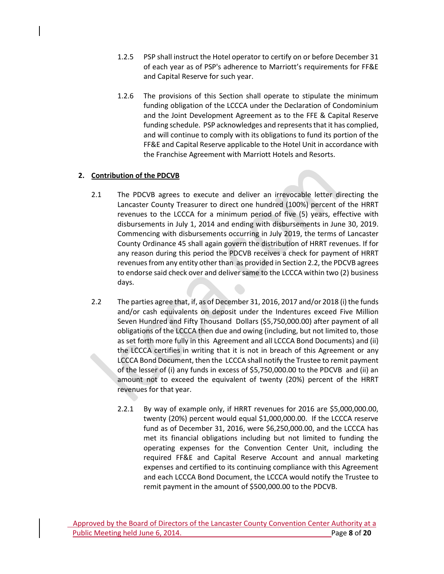- 1.2.5 PSP shall instruct the Hotel operator to certify on or before December 31 of each year as of PSP's adherence to Marriott's requirements for FF&E and Capital Reserve for such year.
- 1.2.6 The provisions of this Section shall operate to stipulate the minimum funding obligation of the LCCCA under the Declaration of Condominium and the Joint Development Agreement as to the FFE & Capital Reserve funding schedule. PSP acknowledges and represents that it has complied, and will continue to comply with its obligations to fund its portion of the FF&E and Capital Reserve applicable to the Hotel Unit in accordance with the Franchise Agreement with Marriott Hotels and Resorts.

# **2. Contribution of the PDCVB**

- 2.1 The PDCVB agrees to execute and deliver an irrevocable letter directing the Lancaster County Treasurer to direct one hundred (100%) percent of the HRRT revenues to the LCCCA for a minimum period of five (5) years, effective with disbursements in July 1, 2014 and ending with disbursements in June 30, 2019. Commencing with disbursements occurring in July 2019, the terms of Lancaster County Ordinance 45 shall again govern the distribution of HRRT revenues. If for any reason during this period the PDCVB receives a check for payment of HRRT revenues from any entity other than as provided in Section 2.2, the PDCVB agrees to endorse said check over and deliver same to the LCCCA within two (2) business days.
- 2.2 The parties agree that, if, as of December 31, 2016, 2017 and/or 2018 (i) the funds and/or cash equivalents on deposit under the Indentures exceed Five Million Seven Hundred and Fifty Thousand Dollars (\$5,750,000.00) after payment of all obligations of the LCCCA then due and owing (including, but not limited to, those as set forth more fully in this Agreement and all LCCCA Bond Documents) and (ii) the LCCCA certifies in writing that it is not in breach of this Agreement or any LCCCA Bond Document, then the LCCCA shall notify the Trustee to remit payment of the lesser of (i) any funds in excess of \$5,750,000.00 to the PDCVB and (ii) an amount not to exceed the equivalent of twenty (20%) percent of the HRRT revenues for that year.
	- 2.2.1 By way of example only, if HRRT revenues for 2016 are \$5,000,000.00, twenty (20%) percent would equal \$1,000,000.00. If the LCCCA reserve fund as of December 31, 2016, were \$6,250,000.00, and the LCCCA has met its financial obligations including but not limited to funding the operating expenses for the Convention Center Unit, including the required FF&E and Capital Reserve Account and annual marketing expenses and certified to its continuing compliance with this Agreement and each LCCCA Bond Document, the LCCCA would notify the Trustee to remit payment in the amount of \$500,000.00 to the PDCVB.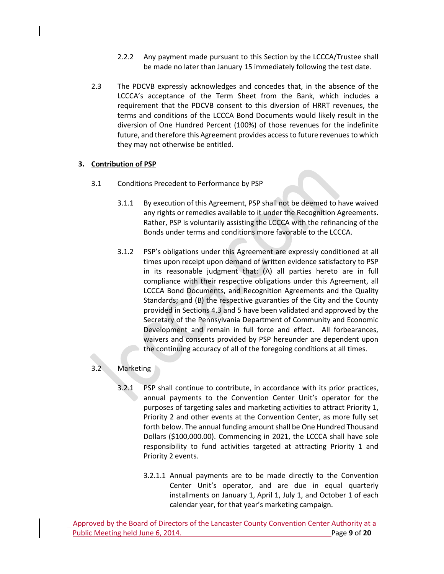- 2.2.2 Any payment made pursuant to this Section by the LCCCA/Trustee shall be made no later than January 15 immediately following the test date.
- 2.3 The PDCVB expressly acknowledges and concedes that, in the absence of the LCCCA's acceptance of the Term Sheet from the Bank, which includes a requirement that the PDCVB consent to this diversion of HRRT revenues, the terms and conditions of the LCCCA Bond Documents would likely result in the diversion of One Hundred Percent (100%) of those revenues for the indefinite future, and therefore this Agreement provides access to future revenues to which they may not otherwise be entitled.

## **3. Contribution of PSP**

- 3.1 Conditions Precedent to Performance by PSP
	- 3.1.1 By execution of this Agreement, PSP shall not be deemed to have waived any rights or remedies available to it under the Recognition Agreements. Rather, PSP is voluntarily assisting the LCCCA with the refinancing of the Bonds under terms and conditions more favorable to the LCCCA.
	- 3.1.2 PSP's obligations under this Agreement are expressly conditioned at all times upon receipt upon demand of written evidence satisfactory to PSP in its reasonable judgment that: (A) all parties hereto are in full compliance with their respective obligations under this Agreement, all LCCCA Bond Documents, and Recognition Agreements and the Quality Standards; and (B) the respective guaranties of the City and the County provided in Sections 4.3 and 5 have been validated and approved by the Secretary of the Pennsylvania Department of Community and Economic Development and remain in full force and effect. All forbearances, waivers and consents provided by PSP hereunder are dependent upon the continuing accuracy of all of the foregoing conditions at all times.

## 3.2 Marketing

- 3.2.1 PSP shall continue to contribute, in accordance with its prior practices, annual payments to the Convention Center Unit's operator for the purposes of targeting sales and marketing activities to attract Priority 1, Priority 2 and other events at the Convention Center, as more fully set forth below. The annual funding amount shall be One Hundred Thousand Dollars (\$100,000.00). Commencing in 2021, the LCCCA shall have sole responsibility to fund activities targeted at attracting Priority 1 and Priority 2 events.
	- 3.2.1.1 Annual payments are to be made directly to the Convention Center Unit's operator, and are due in equal quarterly installments on January 1, April 1, July 1, and October 1 of each calendar year, for that year's marketing campaign.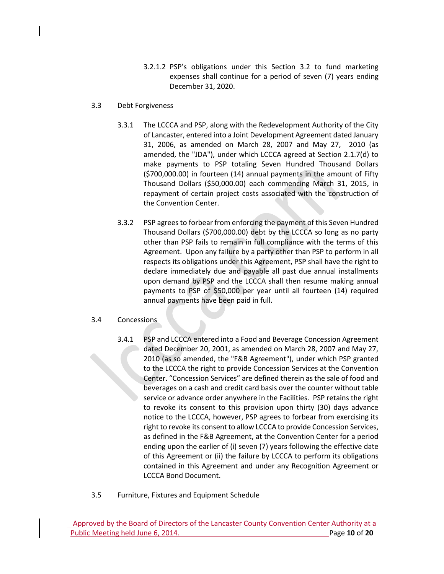- 3.2.1.2 PSP's obligations under this Section 3.2 to fund marketing expenses shall continue for a period of seven (7) years ending December 31, 2020.
- 3.3 Debt Forgiveness
	- 3.3.1 The LCCCA and PSP, along with the Redevelopment Authority of the City of Lancaster, entered into a Joint Development Agreement dated January 31, 2006, as amended on March 28, 2007 and May 27, 2010 (as amended, the "JDA"), under which LCCCA agreed at Section 2.1.7(d) to make payments to PSP totaling Seven Hundred Thousand Dollars (\$700,000.00) in fourteen (14) annual payments in the amount of Fifty Thousand Dollars (\$50,000.00) each commencing March 31, 2015, in repayment of certain project costs associated with the construction of the Convention Center.
	- 3.3.2 PSP agrees to forbear from enforcing the payment of this Seven Hundred Thousand Dollars (\$700,000.00) debt by the LCCCA so long as no party other than PSP fails to remain in full compliance with the terms of this Agreement. Upon any failure by a party other than PSP to perform in all respects its obligations under this Agreement, PSP shall have the right to declare immediately due and payable all past due annual installments upon demand by PSP and the LCCCA shall then resume making annual payments to PSP of \$50,000 per year until all fourteen (14) required annual payments have been paid in full.
- 3.4 Concessions
	- 3.4.1 PSP and LCCCA entered into a Food and Beverage Concession Agreement dated December 20, 2001, as amended on March 28, 2007 and May 27, 2010 (as so amended, the "F&B Agreement"), under which PSP granted to the LCCCA the right to provide Concession Services at the Convention Center. "Concession Services" are defined therein as the sale of food and beverages on a cash and credit card basis over the counter without table service or advance order anywhere in the Facilities. PSP retains the right to revoke its consent to this provision upon thirty (30) days advance notice to the LCCCA, however, PSP agrees to forbear from exercising its right to revoke its consent to allow LCCCA to provide Concession Services, as defined in the F&B Agreement, at the Convention Center for a period ending upon the earlier of (i) seven (7) years following the effective date of this Agreement or (ii) the failure by LCCCA to perform its obligations contained in this Agreement and under any Recognition Agreement or LCCCA Bond Document.
- 3.5 Furniture, Fixtures and Equipment Schedule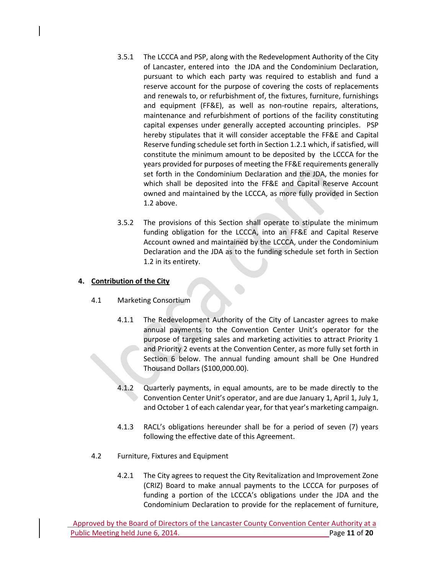- 3.5.1 The LCCCA and PSP, along with the Redevelopment Authority of the City of Lancaster, entered into the JDA and the Condominium Declaration, pursuant to which each party was required to establish and fund a reserve account for the purpose of covering the costs of replacements and renewals to, or refurbishment of, the fixtures, furniture, furnishings and equipment (FF&E), as well as non-routine repairs, alterations, maintenance and refurbishment of portions of the facility constituting capital expenses under generally accepted accounting principles. PSP hereby stipulates that it will consider acceptable the FF&E and Capital Reserve funding schedule set forth in Section 1.2.1 which, if satisfied, will constitute the minimum amount to be deposited by the LCCCA for the years provided for purposes of meeting the FF&E requirements generally set forth in the Condominium Declaration and the JDA, the monies for which shall be deposited into the FF&E and Capital Reserve Account owned and maintained by the LCCCA, as more fully provided in Section 1.2 above.
- 3.5.2 The provisions of this Section shall operate to stipulate the minimum funding obligation for the LCCCA, into an FF&E and Capital Reserve Account owned and maintained by the LCCCA, under the Condominium Declaration and the JDA as to the funding schedule set forth in Section 1.2 in its entirety.

## **4. Contribution of the City**

- 4.1 Marketing Consortium
	- 4.1.1 The Redevelopment Authority of the City of Lancaster agrees to make annual payments to the Convention Center Unit's operator for the purpose of targeting sales and marketing activities to attract Priority 1 and Priority 2 events at the Convention Center, as more fully set forth in Section 6 below. The annual funding amount shall be One Hundred Thousand Dollars (\$100,000.00).
	- 4.1.2 Quarterly payments, in equal amounts, are to be made directly to the Convention Center Unit's operator, and are due January 1, April 1, July 1, and October 1 of each calendar year, for that year's marketing campaign.
	- 4.1.3 RACL's obligations hereunder shall be for a period of seven (7) years following the effective date of this Agreement.
- 4.2 Furniture, Fixtures and Equipment
	- 4.2.1 The City agrees to request the City Revitalization and Improvement Zone (CRIZ) Board to make annual payments to the LCCCA for purposes of funding a portion of the LCCCA's obligations under the JDA and the Condominium Declaration to provide for the replacement of furniture,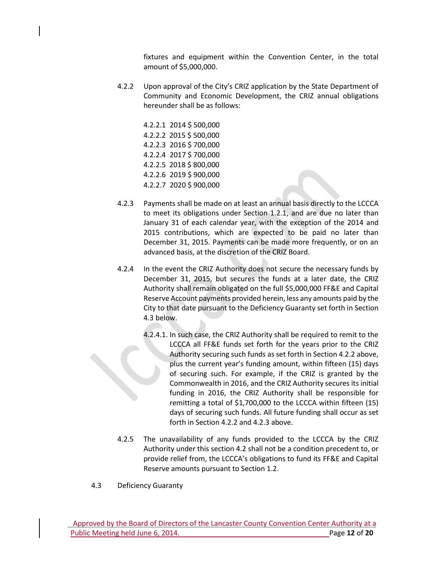fixtures and equipment within the Convention Center, in the total amount of \$5,000,000.

4.2.2 Upon approval of the City's CRIZ application by the State Department of Community and Economic Development, the CRIZ annual obligations hereunder shall be as follows:

> 4.2.2.1 2014 \$ 500,000 4.2.2.2 2015 \$ 500,000 4.2.2.3 2016 \$ 700,000 4.2.2.4 2017 \$ 700,000 4.2.2.5 2018 \$ 800,000 4.2.2.6 2019 \$ 900,000 4.2.2.7 2020 \$ 900,000

- 4.2.3 Payments shall be made on at least an annual basis directly to the LCCCA to meet its obligations under Section 1.2.1, and are due no later than January 31 of each calendar year, with the exception of the 2014 and 2015 contributions, which are expected to be paid no later than December 31, 2015. Payments can be made more frequently, or on an advanced basis, at the discretion of the CRIZ Board.
- 4.2.4 In the event the CRIZ Authority does not secure the necessary funds by December 31, 2015, but secures the funds at a later date, the CRIZ Authority shall remain obligated on the full \$5,000,000 FF&E and Capital Reserve Account payments provided herein, less any amounts paid by the City to that date pursuant to the Deficiency Guaranty set forth in Section 4.3 below.
	- 4.2.4.1. In such case, the CRIZ Authority shall be required to remit to the LCCCA all FF&E funds set forth for the years prior to the CRIZ Authority securing such funds as set forth in Section 4.2.2 above, plus the current year's funding amount, within fifteen (15) days of securing such. For example, if the CRIZ is granted by the Commonwealth in 2016, and the CRIZ Authority secures its initial funding in 2016, the CRIZ Authority shall be responsible for remitting a total of \$1,700,000 to the LCCCA within fifteen (15) days of securing such funds. All future funding shall occur as set forth in Section 4.2.2 and 4.2.3 above.
- 4.2.5 The unavailability of any funds provided to the LCCCA by the CRIZ Authority under this section 4.2 shall not be a condition precedent to, or provide relief from, the LCCCA's obligations to fund its FF&E and Capital Reserve amounts pursuant to Section 1.2.
- 4.3 Deficiency Guaranty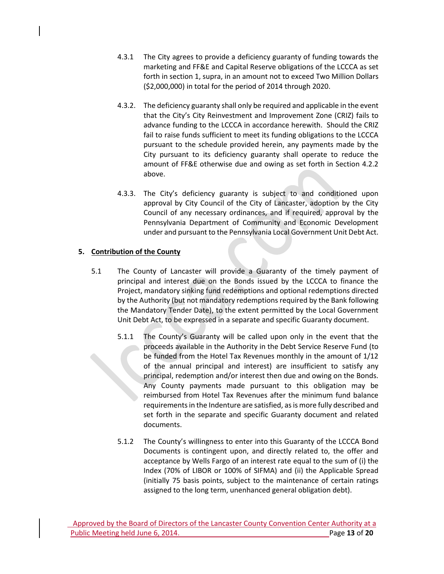- 4.3.1 The City agrees to provide a deficiency guaranty of funding towards the marketing and FF&E and Capital Reserve obligations of the LCCCA as set forth in section 1, supra, in an amount not to exceed Two Million Dollars (\$2,000,000) in total for the period of 2014 through 2020.
- 4.3.2. The deficiency guaranty shall only be required and applicable in the event that the City's City Reinvestment and Improvement Zone (CRIZ) fails to advance funding to the LCCCA in accordance herewith. Should the CRIZ fail to raise funds sufficient to meet its funding obligations to the LCCCA pursuant to the schedule provided herein, any payments made by the City pursuant to its deficiency guaranty shall operate to reduce the amount of FF&E otherwise due and owing as set forth in Section 4.2.2 above.
- 4.3.3. The City's deficiency guaranty is subject to and conditioned upon approval by City Council of the City of Lancaster, adoption by the City Council of any necessary ordinances, and if required, approval by the Pennsylvania Department of Community and Economic Development under and pursuant to the Pennsylvania Local Government Unit Debt Act.

## **5. Contribution of the County**

- 5.1 The County of Lancaster will provide a Guaranty of the timely payment of principal and interest due on the Bonds issued by the LCCCA to finance the Project, mandatory sinking fund redemptions and optional redemptions directed by the Authority (but not mandatory redemptions required by the Bank following the Mandatory Tender Date), to the extent permitted by the Local Government Unit Debt Act, to be expressed in a separate and specific Guaranty document.
	- 5.1.1 The County's Guaranty will be called upon only in the event that the proceeds available in the Authority in the Debt Service Reserve Fund (to be funded from the Hotel Tax Revenues monthly in the amount of 1/12 of the annual principal and interest) are insufficient to satisfy any principal, redemption and/or interest then due and owing on the Bonds. Any County payments made pursuant to this obligation may be reimbursed from Hotel Tax Revenues after the minimum fund balance requirements in the Indenture are satisfied, as is more fully described and set forth in the separate and specific Guaranty document and related documents.
	- 5.1.2 The County's willingness to enter into this Guaranty of the LCCCA Bond Documents is contingent upon, and directly related to, the offer and acceptance by Wells Fargo of an interest rate equal to the sum of (i) the Index (70% of LIBOR or 100% of SIFMA) and (ii) the Applicable Spread (initially 75 basis points, subject to the maintenance of certain ratings assigned to the long term, unenhanced general obligation debt).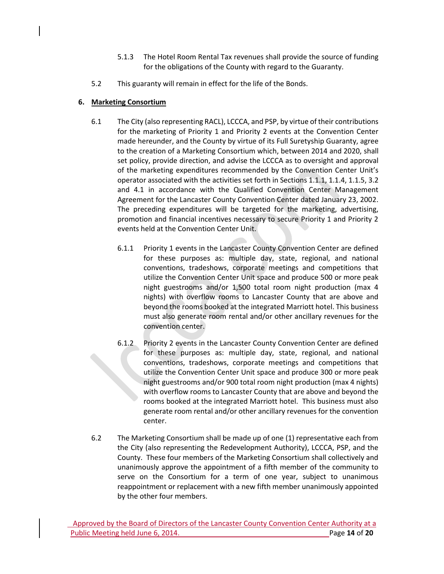- 5.1.3 The Hotel Room Rental Tax revenues shall provide the source of funding for the obligations of the County with regard to the Guaranty.
- 5.2 This guaranty will remain in effect for the life of the Bonds.

## **6. Marketing Consortium**

- 6.1 The City (also representing RACL), LCCCA, and PSP, by virtue of their contributions for the marketing of Priority 1 and Priority 2 events at the Convention Center made hereunder, and the County by virtue of its Full Suretyship Guaranty, agree to the creation of a Marketing Consortium which, between 2014 and 2020, shall set policy, provide direction, and advise the LCCCA as to oversight and approval of the marketing expenditures recommended by the Convention Center Unit's operator associated with the activities set forth in Sections 1.1.1, 1.1.4, 1.1.5, 3.2 and 4.1 in accordance with the Qualified Convention Center Management Agreement for the Lancaster County Convention Center dated January 23, 2002. The preceding expenditures will be targeted for the marketing, advertising, promotion and financial incentives necessary to secure Priority 1 and Priority 2 events held at the Convention Center Unit.
	- 6.1.1 Priority 1 events in the Lancaster County Convention Center are defined for these purposes as: multiple day, state, regional, and national conventions, tradeshows, corporate meetings and competitions that utilize the Convention Center Unit space and produce 500 or more peak night guestrooms and/or 1,500 total room night production (max 4 nights) with overflow rooms to Lancaster County that are above and beyond the rooms booked at the integrated Marriott hotel. This business must also generate room rental and/or other ancillary revenues for the convention center.
	- 6.1.2 Priority 2 events in the Lancaster County Convention Center are defined for these purposes as: multiple day, state, regional, and national conventions, tradeshows, corporate meetings and competitions that utilize the Convention Center Unit space and produce 300 or more peak night guestrooms and/or 900 total room night production (max 4 nights) with overflow rooms to Lancaster County that are above and beyond the rooms booked at the integrated Marriott hotel. This business must also generate room rental and/or other ancillary revenues for the convention center.
- 6.2 The Marketing Consortium shall be made up of one (1) representative each from the City (also representing the Redevelopment Authority), LCCCA, PSP, and the County. These four members of the Marketing Consortium shall collectively and unanimously approve the appointment of a fifth member of the community to serve on the Consortium for a term of one year, subject to unanimous reappointment or replacement with a new fifth member unanimously appointed by the other four members.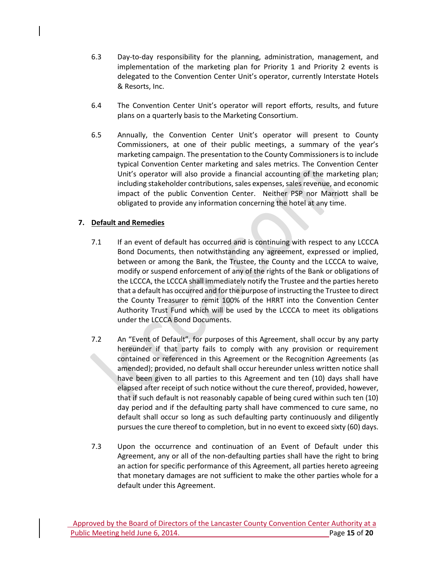- 6.3 Day-to-day responsibility for the planning, administration, management, and implementation of the marketing plan for Priority 1 and Priority 2 events is delegated to the Convention Center Unit's operator, currently Interstate Hotels & Resorts, Inc.
- 6.4 The Convention Center Unit's operator will report efforts, results, and future plans on a quarterly basis to the Marketing Consortium.
- 6.5 Annually, the Convention Center Unit's operator will present to County Commissioners, at one of their public meetings, a summary of the year's marketing campaign. The presentation to the County Commissioners is to include typical Convention Center marketing and sales metrics. The Convention Center Unit's operator will also provide a financial accounting of the marketing plan; including stakeholder contributions, sales expenses, sales revenue, and economic impact of the public Convention Center. Neither PSP nor Marriott shall be obligated to provide any information concerning the hotel at any time.

## **7. Default and Remedies**

- 7.1 If an event of default has occurred and is continuing with respect to any LCCCA Bond Documents, then notwithstanding any agreement, expressed or implied, between or among the Bank, the Trustee, the County and the LCCCA to waive, modify or suspend enforcement of any of the rights of the Bank or obligations of the LCCCA, the LCCCA shall immediately notify the Trustee and the parties hereto that a default has occurred and for the purpose of instructing the Trustee to direct the County Treasurer to remit 100% of the HRRT into the Convention Center Authority Trust Fund which will be used by the LCCCA to meet its obligations under the LCCCA Bond Documents.
- 7.2 An "Event of Default", for purposes of this Agreement, shall occur by any party hereunder if that party fails to comply with any provision or requirement contained or referenced in this Agreement or the Recognition Agreements (as amended); provided, no default shall occur hereunder unless written notice shall have been given to all parties to this Agreement and ten (10) days shall have elapsed after receipt of such notice without the cure thereof, provided, however, that if such default is not reasonably capable of being cured within such ten (10) day period and if the defaulting party shall have commenced to cure same, no default shall occur so long as such defaulting party continuously and diligently pursues the cure thereof to completion, but in no event to exceed sixty (60) days.
- 7.3 Upon the occurrence and continuation of an Event of Default under this Agreement, any or all of the non-defaulting parties shall have the right to bring an action for specific performance of this Agreement, all parties hereto agreeing that monetary damages are not sufficient to make the other parties whole for a default under this Agreement.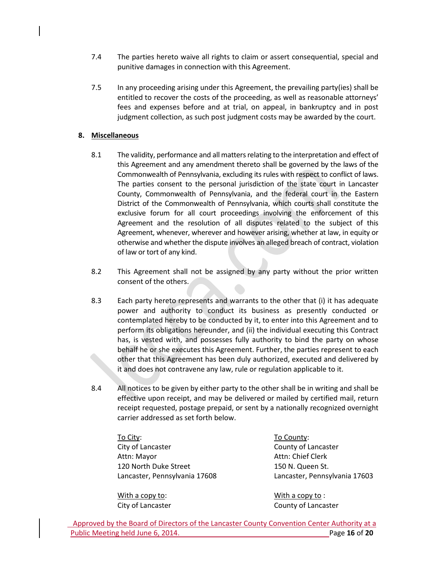- 7.4 The parties hereto waive all rights to claim or assert consequential, special and punitive damages in connection with this Agreement.
- 7.5 In any proceeding arising under this Agreement, the prevailing party(ies) shall be entitled to recover the costs of the proceeding, as well as reasonable attorneys' fees and expenses before and at trial, on appeal, in bankruptcy and in post judgment collection, as such post judgment costs may be awarded by the court.

## **8. Miscellaneous**

- 8.1 The validity, performance and all matters relating to the interpretation and effect of this Agreement and any amendment thereto shall be governed by the laws of the Commonwealth of Pennsylvania, excluding its rules with respect to conflict of laws. The parties consent to the personal jurisdiction of the state court in Lancaster County, Commonwealth of Pennsylvania, and the federal court in the Eastern District of the Commonwealth of Pennsylvania, which courts shall constitute the exclusive forum for all court proceedings involving the enforcement of this Agreement and the resolution of all disputes related to the subject of this Agreement, whenever, wherever and however arising, whether at law, in equity or otherwise and whether the dispute involves an alleged breach of contract, violation of law or tort of any kind.
- 8.2 This Agreement shall not be assigned by any party without the prior written consent of the others.
- 8.3 Each party hereto represents and warrants to the other that (i) it has adequate power and authority to conduct its business as presently conducted or contemplated hereby to be conducted by it, to enter into this Agreement and to perform its obligations hereunder, and (ii) the individual executing this Contract has, is vested with, and possesses fully authority to bind the party on whose behalf he or she executes this Agreement. Further, the parties represent to each other that this Agreement has been duly authorized, executed and delivered by it and does not contravene any law, rule or regulation applicable to it.
- 8.4 All notices to be given by either party to the other shall be in writing and shall be effective upon receipt, and may be delivered or mailed by certified mail, return receipt requested, postage prepaid, or sent by a nationally recognized overnight carrier addressed as set forth below.

To City: To County: City of Lancaster City of Lancaster County of Lancaster Attn: Mayor **Attn: Chief Clerk** 120 North Duke Street 150 N. Queen St.

Lancaster, Pennsylvania 17608 Lancaster, Pennsylvania 17603

With a copy to: With a copy to: City of Lancaster City of Lancaster County of Lancaster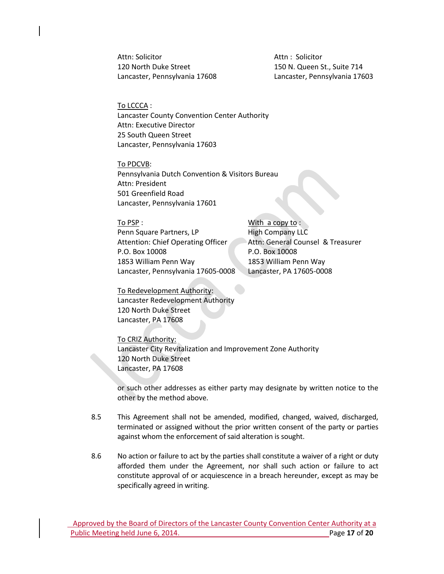Attn: Solicitor **Attn** : Solicitor 120 North Duke Street 150 N. Queen St., Suite 714

Lancaster, Pennsylvania 17608 Lancaster, Pennsylvania 17603

To LCCCA : Lancaster County Convention Center Authority Attn: Executive Director 25 South Queen Street Lancaster, Pennsylvania 17603

To PDCVB: Pennsylvania Dutch Convention & Visitors Bureau Attn: President 501 Greenfield Road Lancaster, Pennsylvania 17601

To PSP : With a copy to : Penn Square Partners, LP High Company LLC Attention: Chief Operating Officer Attn: General Counsel & Treasurer P.O. Box 10008 P.O. Box 10008 1853 William Penn Way 1853 William Penn Way Lancaster, Pennsylvania 17605-0008 Lancaster, PA 17605-0008

To Redevelopment Authority: Lancaster Redevelopment Authority 120 North Duke Street Lancaster, PA 17608

To CRIZ Authority: Lancaster City Revitalization and Improvement Zone Authority 120 North Duke Street Lancaster, PA 17608

or such other addresses as either party may designate by written notice to the other by the method above.

- 8.5 This Agreement shall not be amended, modified, changed, waived, discharged, terminated or assigned without the prior written consent of the party or parties against whom the enforcement of said alteration is sought.
- 8.6 No action or failure to act by the parties shall constitute a waiver of a right or duty afforded them under the Agreement, nor shall such action or failure to act constitute approval of or acquiescence in a breach hereunder, except as may be specifically agreed in writing.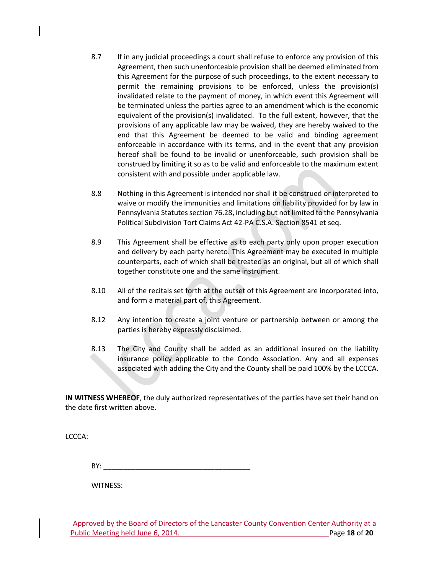- 8.7 If in any judicial proceedings a court shall refuse to enforce any provision of this Agreement, then such unenforceable provision shall be deemed eliminated from this Agreement for the purpose of such proceedings, to the extent necessary to permit the remaining provisions to be enforced, unless the provision(s) invalidated relate to the payment of money, in which event this Agreement will be terminated unless the parties agree to an amendment which is the economic equivalent of the provision(s) invalidated. To the full extent, however, that the provisions of any applicable law may be waived, they are hereby waived to the end that this Agreement be deemed to be valid and binding agreement enforceable in accordance with its terms, and in the event that any provision hereof shall be found to be invalid or unenforceable, such provision shall be construed by limiting it so as to be valid and enforceable to the maximum extent consistent with and possible under applicable law.
- 8.8 Nothing in this Agreement is intended nor shall it be construed or interpreted to waive or modify the immunities and limitations on liability provided for by law in Pennsylvania Statutes section 76.28, including but not limited to the Pennsylvania Political Subdivision Tort Claims Act 42-PA C.S.A. Section 8541 et seq.
- 8.9 This Agreement shall be effective as to each party only upon proper execution and delivery by each party hereto. This Agreement may be executed in multiple counterparts, each of which shall be treated as an original, but all of which shall together constitute one and the same instrument.
- 8.10 All of the recitals set forth at the outset of this Agreement are incorporated into, and form a material part of, this Agreement.
- 8.12 Any intention to create a joint venture or partnership between or among the parties is hereby expressly disclaimed.
- 8.13 The City and County shall be added as an additional insured on the liability insurance policy applicable to the Condo Association. Any and all expenses associated with adding the City and the County shall be paid 100% by the LCCCA.

**IN WITNESS WHEREOF**, the duly authorized representatives of the parties have set their hand on the date first written above.

LCCCA:

BY: \_\_\_\_\_\_\_\_\_\_\_\_\_\_\_\_\_\_\_\_\_\_\_\_\_\_\_\_\_\_\_\_\_\_\_\_\_

WITNESS: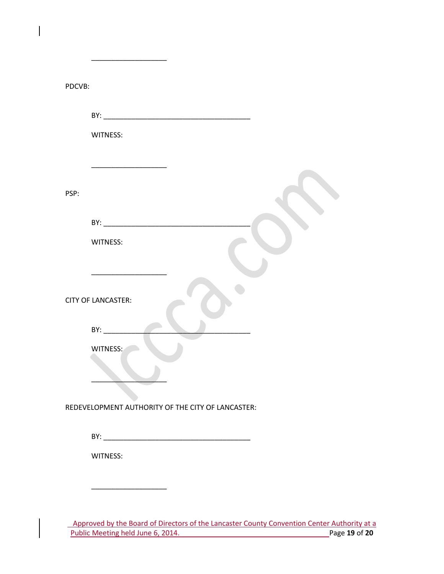| PDCVB: |                                                   |
|--------|---------------------------------------------------|
|        |                                                   |
|        | WITNESS:                                          |
|        |                                                   |
| PSP:   |                                                   |
|        |                                                   |
|        | WITNESS:                                          |
|        | <b>CITY OF LANCASTER:</b>                         |
|        | BY:                                               |
|        | WITNESS:                                          |
|        |                                                   |
|        | REDEVELOPMENT AUTHORITY OF THE CITY OF LANCASTER: |
|        |                                                   |
|        | WITNESS:                                          |
|        |                                                   |
|        |                                                   |

 $\overline{\phantom{a}}$ 

Approved by the Board of Directors of the Lancaster County Convention Center Authority at a Public Meeting held June 6, 2014. Page **19** of **20**